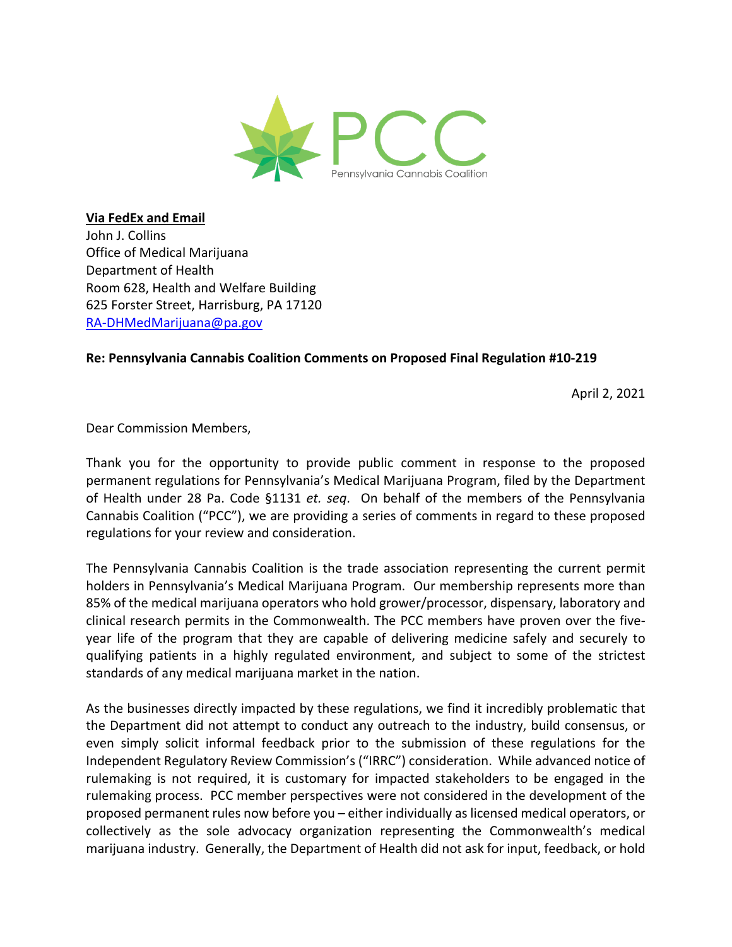

**Via FedEx and Email** John J. Collins Office of Medical Marijuana Department of Health Room 628, Health and Welfare Building 625 Forster Street, Harrisburg, PA 17120 RA-DHMedMarijuana@pa.gov

### **Re: Pennsylvania Cannabis Coalition Comments on Proposed Final Regulation #10-219**

April 2, 2021

Dear Commission Members,

Thank you for the opportunity to provide public comment in response to the proposed permanent regulations for Pennsylvania's Medical Marijuana Program, filed by the Department of Health under 28 Pa. Code §1131 *et. seq*. On behalf of the members of the Pennsylvania Cannabis Coalition ("PCC"), we are providing a series of comments in regard to these proposed regulations for your review and consideration.

The Pennsylvania Cannabis Coalition is the trade association representing the current permit holders in Pennsylvania's Medical Marijuana Program. Our membership represents more than 85% of the medical marijuana operators who hold grower/processor, dispensary, laboratory and clinical research permits in the Commonwealth. The PCC members have proven over the fiveyear life of the program that they are capable of delivering medicine safely and securely to qualifying patients in a highly regulated environment, and subject to some of the strictest standards of any medical marijuana market in the nation.

As the businesses directly impacted by these regulations, we find it incredibly problematic that the Department did not attempt to conduct any outreach to the industry, build consensus, or even simply solicit informal feedback prior to the submission of these regulations for the Independent Regulatory Review Commission's ("IRRC") consideration. While advanced notice of rulemaking is not required, it is customary for impacted stakeholders to be engaged in the rulemaking process. PCC member perspectives were not considered in the development of the proposed permanent rules now before you – either individually as licensed medical operators, or collectively as the sole advocacy organization representing the Commonwealth's medical marijuana industry. Generally, the Department of Health did not ask for input, feedback, or hold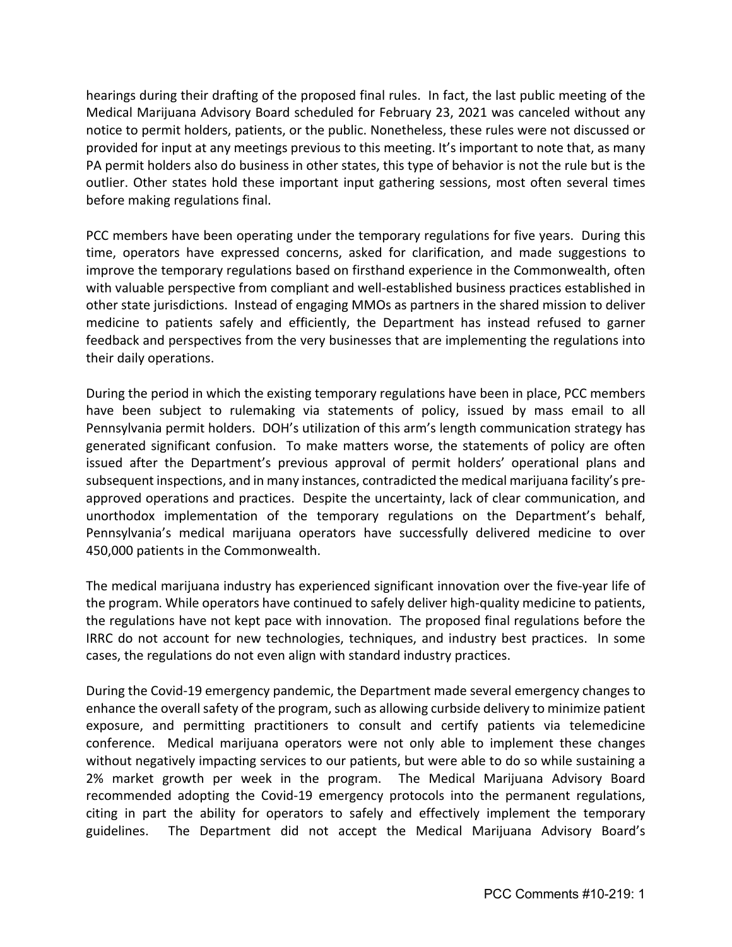hearings during their drafting of the proposed final rules. In fact, the last public meeting of the Medical Marijuana Advisory Board scheduled for February 23, 2021 was canceled without any notice to permit holders, patients, or the public. Nonetheless, these rules were not discussed or provided for input at any meetings previous to this meeting. It's important to note that, as many PA permit holders also do business in other states, this type of behavior is not the rule but is the outlier. Other states hold these important input gathering sessions, most often several times before making regulations final.

PCC members have been operating under the temporary regulations for five years. During this time, operators have expressed concerns, asked for clarification, and made suggestions to improve the temporary regulations based on firsthand experience in the Commonwealth, often with valuable perspective from compliant and well-established business practices established in other state jurisdictions. Instead of engaging MMOs as partners in the shared mission to deliver medicine to patients safely and efficiently, the Department has instead refused to garner feedback and perspectives from the very businesses that are implementing the regulations into their daily operations.

During the period in which the existing temporary regulations have been in place, PCC members have been subject to rulemaking via statements of policy, issued by mass email to all Pennsylvania permit holders. DOH's utilization of this arm's length communication strategy has generated significant confusion. To make matters worse, the statements of policy are often issued after the Department's previous approval of permit holders' operational plans and subsequent inspections, and in many instances, contradicted the medical marijuana facility's preapproved operations and practices. Despite the uncertainty, lack of clear communication, and unorthodox implementation of the temporary regulations on the Department's behalf, Pennsylvania's medical marijuana operators have successfully delivered medicine to over 450,000 patients in the Commonwealth.

The medical marijuana industry has experienced significant innovation over the five-year life of the program. While operators have continued to safely deliver high-quality medicine to patients, the regulations have not kept pace with innovation. The proposed final regulations before the IRRC do not account for new technologies, techniques, and industry best practices. In some cases, the regulations do not even align with standard industry practices.

During the Covid-19 emergency pandemic, the Department made several emergency changes to enhance the overall safety of the program, such as allowing curbside delivery to minimize patient exposure, and permitting practitioners to consult and certify patients via telemedicine conference. Medical marijuana operators were not only able to implement these changes without negatively impacting services to our patients, but were able to do so while sustaining a 2% market growth per week in the program. The Medical Marijuana Advisory Board recommended adopting the Covid-19 emergency protocols into the permanent regulations, citing in part the ability for operators to safely and effectively implement the temporary guidelines. The Department did not accept the Medical Marijuana Advisory Board's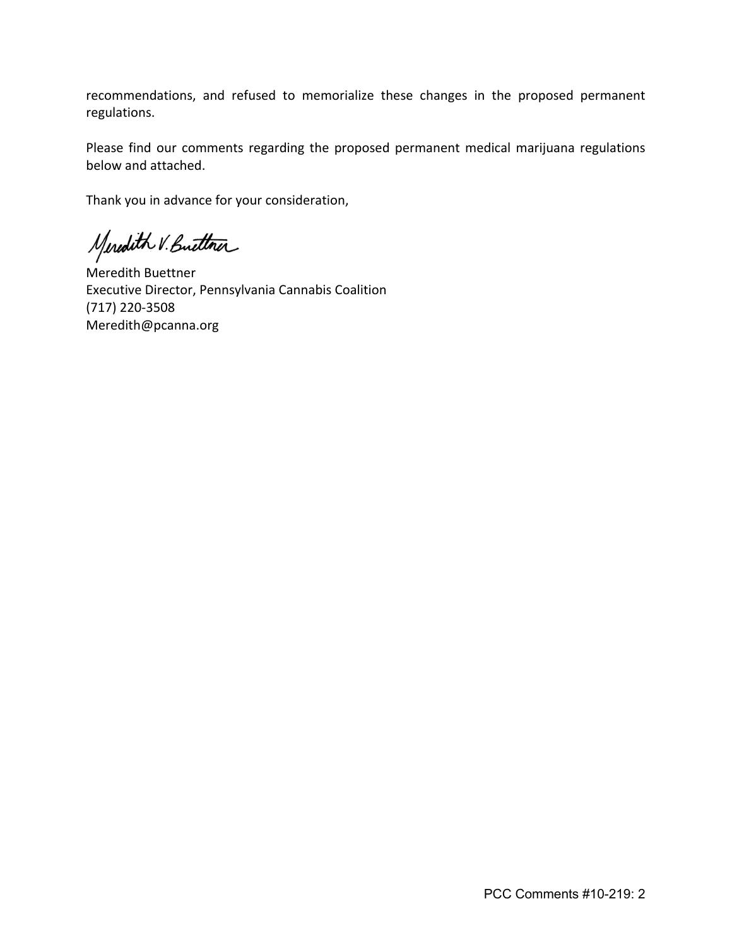recommendations, and refused to memorialize these changes in the proposed permanent regulations.

Please find our comments regarding the proposed permanent medical marijuana regulations below and attached.

Thank you in advance for your consideration,

Meredith V. Button

Meredith Buettner Executive Director, Pennsylvania Cannabis Coalition (717) 220-3508 Meredith@pcanna.org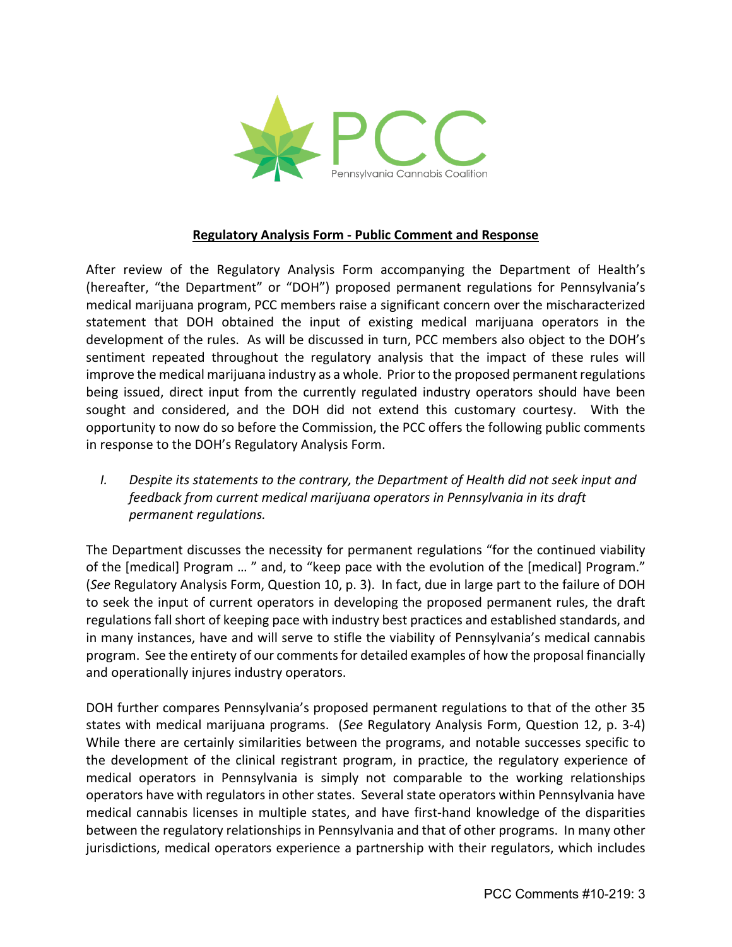

#### **Regulatory Analysis Form - Public Comment and Response**

After review of the Regulatory Analysis Form accompanying the Department of Health's (hereafter, "the Department" or "DOH") proposed permanent regulations for Pennsylvania's medical marijuana program, PCC members raise a significant concern over the mischaracterized statement that DOH obtained the input of existing medical marijuana operators in the development of the rules. As will be discussed in turn, PCC members also object to the DOH's sentiment repeated throughout the regulatory analysis that the impact of these rules will improve the medical marijuana industry as a whole. Prior to the proposed permanent regulations being issued, direct input from the currently regulated industry operators should have been sought and considered, and the DOH did not extend this customary courtesy. With the opportunity to now do so before the Commission, the PCC offers the following public comments in response to the DOH's Regulatory Analysis Form.

*I. Despite its statements to the contrary, the Department of Health did not seek input and feedback from current medical marijuana operators in Pennsylvania in its draft permanent regulations.*

The Department discusses the necessity for permanent regulations "for the continued viability of the [medical] Program ... " and, to "keep pace with the evolution of the [medical] Program." (*See* Regulatory Analysis Form, Question 10, p. 3). In fact, due in large part to the failure of DOH to seek the input of current operators in developing the proposed permanent rules, the draft regulations fall short of keeping pace with industry best practices and established standards, and in many instances, have and will serve to stifle the viability of Pennsylvania's medical cannabis program. See the entirety of our comments for detailed examples of how the proposal financially and operationally injures industry operators.

DOH further compares Pennsylvania's proposed permanent regulations to that of the other 35 states with medical marijuana programs. (*See* Regulatory Analysis Form, Question 12, p. 3-4) While there are certainly similarities between the programs, and notable successes specific to the development of the clinical registrant program, in practice, the regulatory experience of medical operators in Pennsylvania is simply not comparable to the working relationships operators have with regulators in other states. Several state operators within Pennsylvania have medical cannabis licenses in multiple states, and have first-hand knowledge of the disparities between the regulatory relationships in Pennsylvania and that of other programs. In many other jurisdictions, medical operators experience a partnership with their regulators, which includes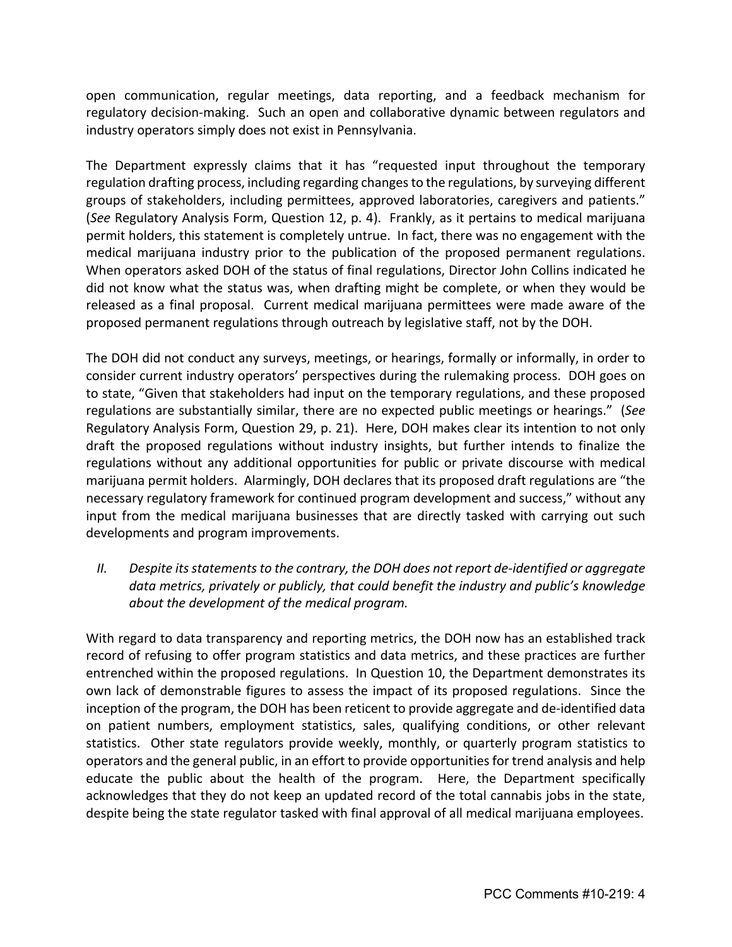open communication, regular meetings, data reporting, and a feedback mechanism for regulatory decision-making. Such an open and collaborative dynamic between regulators and industry operators simply does not exist in Pennsylvania.

The Department expressly claims that it has "requested input throughout the temporary regulation drafting process, including regarding changes to the regulations, by surveying different groups of stakeholders, including permittees, approved laboratories, caregivers and patients." (*See* Regulatory Analysis Form, Question 12, p. 4). Frankly, as it pertains to medical marijuana permit holders, this statement is completely untrue. In fact, there was no engagement with the medical marijuana industry prior to the publication of the proposed permanent regulations. When operators asked DOH of the status of final regulations, Director John Collins indicated he did not know what the status was, when drafting might be complete, or when they would be released as a final proposal. Current medical marijuana permittees were made aware of the proposed permanent regulations through outreach by legislative staff, not by the DOH.

The DOH did not conduct any surveys, meetings, or hearings, formally or informally, in order to consider current industry operators' perspectives during the rulemaking process. DOH goes on to state, "Given that stakeholders had input on the temporary regulations, and these proposed regulations are substantially similar, there are no expected public meetings or hearings." (*See*  Regulatory Analysis Form, Question 29, p. 21). Here, DOH makes clear its intention to not only draft the proposed regulations without industry insights, but further intends to finalize the regulations without any additional opportunities for public or private discourse with medical marijuana permit holders. Alarmingly, DOH declares that its proposed draft regulations are "the necessary regulatory framework for continued program development and success," without any input from the medical marijuana businesses that are directly tasked with carrying out such developments and program improvements.

*II. Despite its statements to the contrary, the DOH does not report de-identified or aggregate data metrics, privately or publicly, that could benefit the industry and public's knowledge about the development of the medical program.*

With regard to data transparency and reporting metrics, the DOH now has an established track record of refusing to offer program statistics and data metrics, and these practices are further entrenched within the proposed regulations. In Question 10, the Department demonstrates its own lack of demonstrable figures to assess the impact of its proposed regulations. Since the inception of the program, the DOH has been reticent to provide aggregate and de-identified data on patient numbers, employment statistics, sales, qualifying conditions, or other relevant statistics. Other state regulators provide weekly, monthly, or quarterly program statistics to operators and the general public, in an effort to provide opportunities for trend analysis and help educate the public about the health of the program. Here, the Department specifically acknowledges that they do not keep an updated record of the total cannabis jobs in the state, despite being the state regulator tasked with final approval of all medical marijuana employees.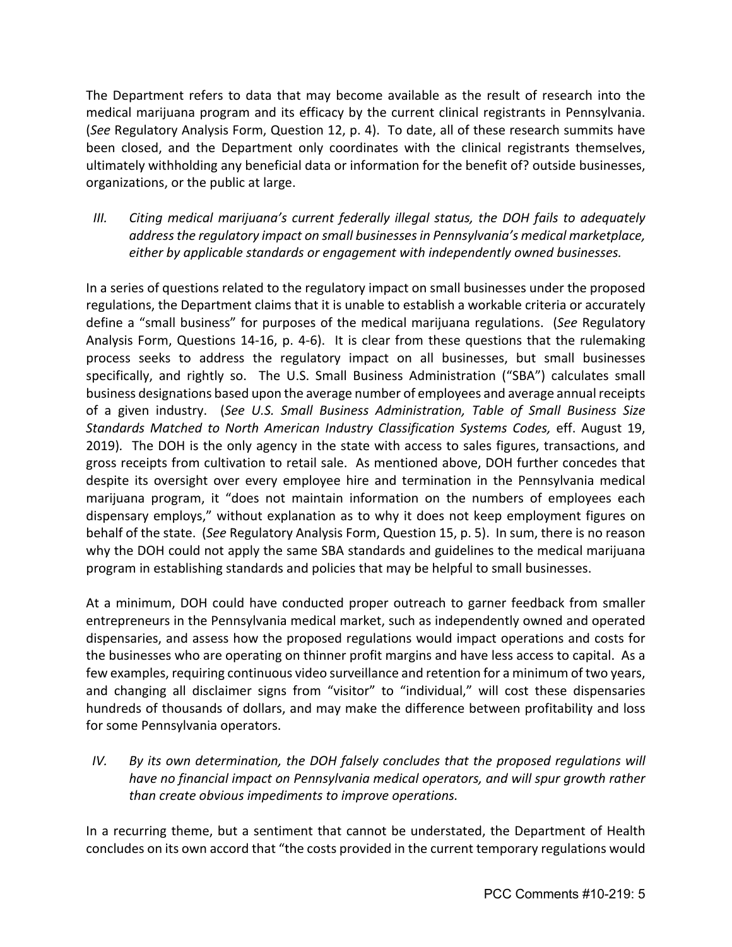The Department refers to data that may become available as the result of research into the medical marijuana program and its efficacy by the current clinical registrants in Pennsylvania. (*See* Regulatory Analysis Form, Question 12, p. 4). To date, all of these research summits have been closed, and the Department only coordinates with the clinical registrants themselves, ultimately withholding any beneficial data or information for the benefit of? outside businesses, organizations, or the public at large.

*III. Citing medical marijuana's current federally illegal status, the DOH fails to adequately address the regulatory impact on small businesses in Pennsylvania's medical marketplace, either by applicable standards or engagement with independently owned businesses.* 

In a series of questions related to the regulatory impact on small businesses under the proposed regulations, the Department claims that it is unable to establish a workable criteria or accurately define a "small business" for purposes of the medical marijuana regulations. (*See* Regulatory Analysis Form, Questions 14-16, p. 4-6). It is clear from these questions that the rulemaking process seeks to address the regulatory impact on all businesses, but small businesses specifically, and rightly so. The U.S. Small Business Administration ("SBA") calculates small business designations based upon the average number of employees and average annual receipts of a given industry. (*See U.S. Small Business Administration, Table of Small Business Size Standards Matched to North American Industry Classification Systems Codes,* eff. August 19, 2019)*.* The DOH is the only agency in the state with access to sales figures, transactions, and gross receipts from cultivation to retail sale. As mentioned above, DOH further concedes that despite its oversight over every employee hire and termination in the Pennsylvania medical marijuana program, it "does not maintain information on the numbers of employees each dispensary employs," without explanation as to why it does not keep employment figures on behalf of the state. (*See* Regulatory Analysis Form, Question 15, p. 5). In sum, there is no reason why the DOH could not apply the same SBA standards and guidelines to the medical marijuana program in establishing standards and policies that may be helpful to small businesses.

At a minimum, DOH could have conducted proper outreach to garner feedback from smaller entrepreneurs in the Pennsylvania medical market, such as independently owned and operated dispensaries, and assess how the proposed regulations would impact operations and costs for the businesses who are operating on thinner profit margins and have less access to capital. As a few examples, requiring continuous video surveillance and retention for a minimum of two years, and changing all disclaimer signs from "visitor" to "individual," will cost these dispensaries hundreds of thousands of dollars, and may make the difference between profitability and loss for some Pennsylvania operators.

*IV. By its own determination, the DOH falsely concludes that the proposed regulations will have no financial impact on Pennsylvania medical operators, and will spur growth rather than create obvious impediments to improve operations.* 

In a recurring theme, but a sentiment that cannot be understated, the Department of Health concludes on its own accord that "the costs provided in the current temporary regulations would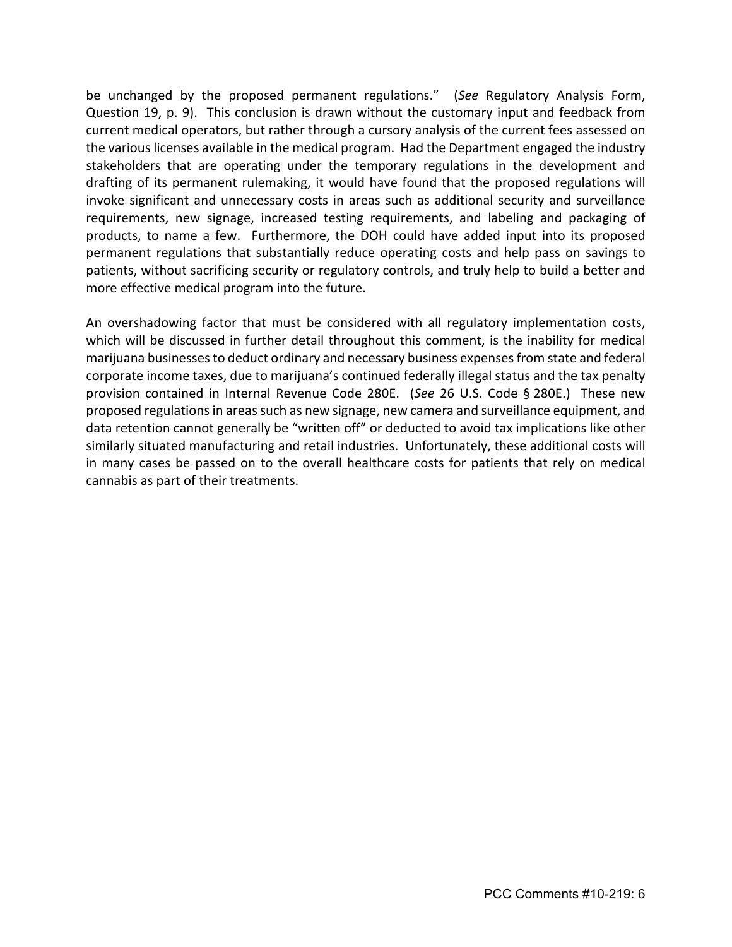be unchanged by the proposed permanent regulations." (*See* Regulatory Analysis Form, Question 19, p. 9). This conclusion is drawn without the customary input and feedback from current medical operators, but rather through a cursory analysis of the current fees assessed on the various licenses available in the medical program. Had the Department engaged the industry stakeholders that are operating under the temporary regulations in the development and drafting of its permanent rulemaking, it would have found that the proposed regulations will invoke significant and unnecessary costs in areas such as additional security and surveillance requirements, new signage, increased testing requirements, and labeling and packaging of products, to name a few. Furthermore, the DOH could have added input into its proposed permanent regulations that substantially reduce operating costs and help pass on savings to patients, without sacrificing security or regulatory controls, and truly help to build a better and more effective medical program into the future.

An overshadowing factor that must be considered with all regulatory implementation costs, which will be discussed in further detail throughout this comment, is the inability for medical marijuana businesses to deduct ordinary and necessary business expenses from state and federal corporate income taxes, due to marijuana's continued federally illegal status and the tax penalty provision contained in Internal Revenue Code 280E. (*See* 26 U.S. Code § 280E.) These new proposed regulations in areas such as new signage, new camera and surveillance equipment, and data retention cannot generally be "written off" or deducted to avoid tax implications like other similarly situated manufacturing and retail industries. Unfortunately, these additional costs will in many cases be passed on to the overall healthcare costs for patients that rely on medical cannabis as part of their treatments.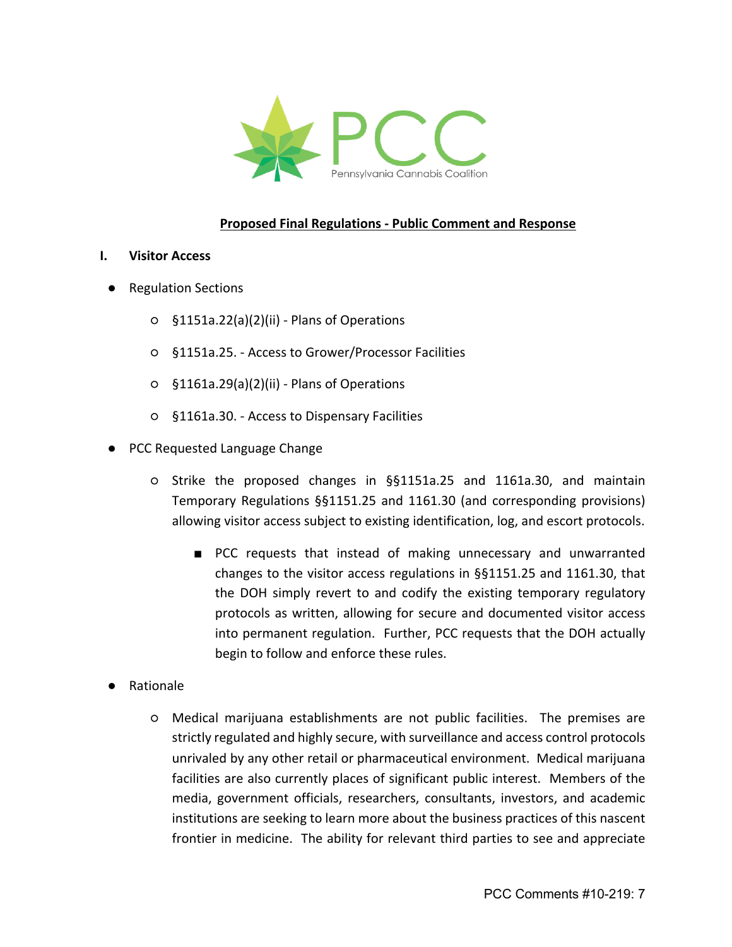

### **Proposed Final Regulations - Public Comment and Response**

#### **I. Visitor Access**

- Regulation Sections
	- §1151a.22(a)(2)(ii) Plans of Operations
	- §1151a.25. Access to Grower/Processor Facilities
	- §1161a.29(a)(2)(ii) Plans of Operations
	- §1161a.30. Access to Dispensary Facilities
- PCC Requested Language Change
	- Strike the proposed changes in §§1151a.25 and 1161a.30, and maintain Temporary Regulations §§1151.25 and 1161.30 (and corresponding provisions) allowing visitor access subject to existing identification, log, and escort protocols.
		- PCC requests that instead of making unnecessary and unwarranted changes to the visitor access regulations in §§1151.25 and 1161.30, that the DOH simply revert to and codify the existing temporary regulatory protocols as written, allowing for secure and documented visitor access into permanent regulation. Further, PCC requests that the DOH actually begin to follow and enforce these rules.
- **Rationale** 
	- Medical marijuana establishments are not public facilities. The premises are strictly regulated and highly secure, with surveillance and access control protocols unrivaled by any other retail or pharmaceutical environment. Medical marijuana facilities are also currently places of significant public interest. Members of the media, government officials, researchers, consultants, investors, and academic institutions are seeking to learn more about the business practices of this nascent frontier in medicine. The ability for relevant third parties to see and appreciate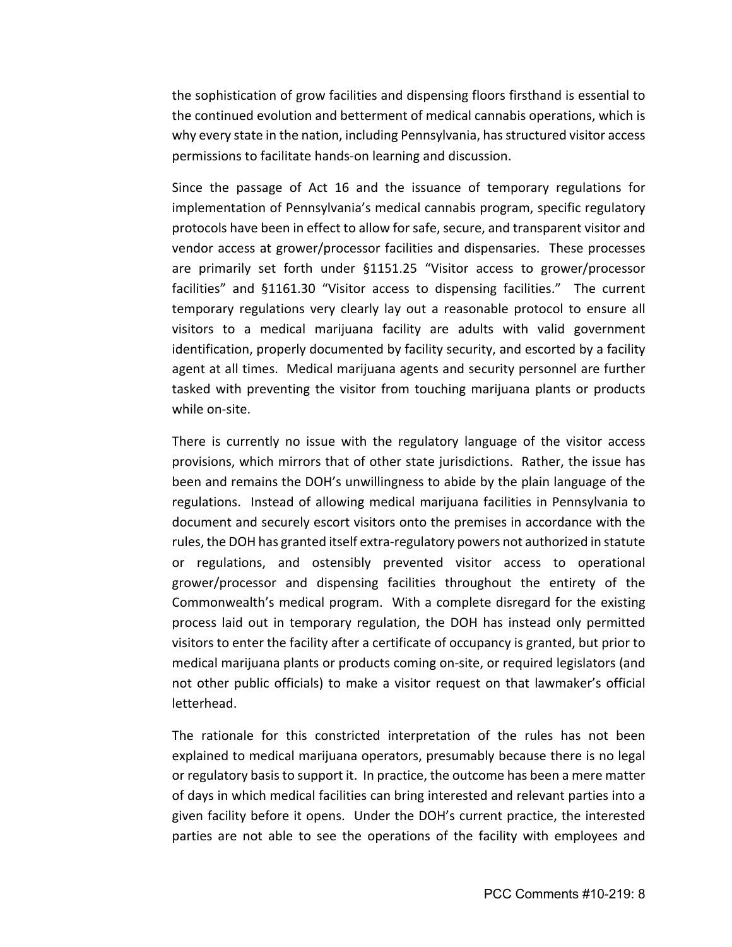the sophistication of grow facilities and dispensing floors firsthand is essential to the continued evolution and betterment of medical cannabis operations, which is why every state in the nation, including Pennsylvania, has structured visitor access permissions to facilitate hands-on learning and discussion.

Since the passage of Act 16 and the issuance of temporary regulations for implementation of Pennsylvania's medical cannabis program, specific regulatory protocols have been in effect to allow for safe, secure, and transparent visitor and vendor access at grower/processor facilities and dispensaries. These processes are primarily set forth under §1151.25 "Visitor access to grower/processor facilities" and §1161.30 "Visitor access to dispensing facilities." The current temporary regulations very clearly lay out a reasonable protocol to ensure all visitors to a medical marijuana facility are adults with valid government identification, properly documented by facility security, and escorted by a facility agent at all times. Medical marijuana agents and security personnel are further tasked with preventing the visitor from touching marijuana plants or products while on-site.

There is currently no issue with the regulatory language of the visitor access provisions, which mirrors that of other state jurisdictions. Rather, the issue has been and remains the DOH's unwillingness to abide by the plain language of the regulations. Instead of allowing medical marijuana facilities in Pennsylvania to document and securely escort visitors onto the premises in accordance with the rules, the DOH has granted itself extra-regulatory powers not authorized in statute or regulations, and ostensibly prevented visitor access to operational grower/processor and dispensing facilities throughout the entirety of the Commonwealth's medical program. With a complete disregard for the existing process laid out in temporary regulation, the DOH has instead only permitted visitors to enter the facility after a certificate of occupancy is granted, but prior to medical marijuana plants or products coming on-site, or required legislators (and not other public officials) to make a visitor request on that lawmaker's official letterhead.

The rationale for this constricted interpretation of the rules has not been explained to medical marijuana operators, presumably because there is no legal or regulatory basis to support it. In practice, the outcome has been a mere matter of days in which medical facilities can bring interested and relevant parties into a given facility before it opens. Under the DOH's current practice, the interested parties are not able to see the operations of the facility with employees and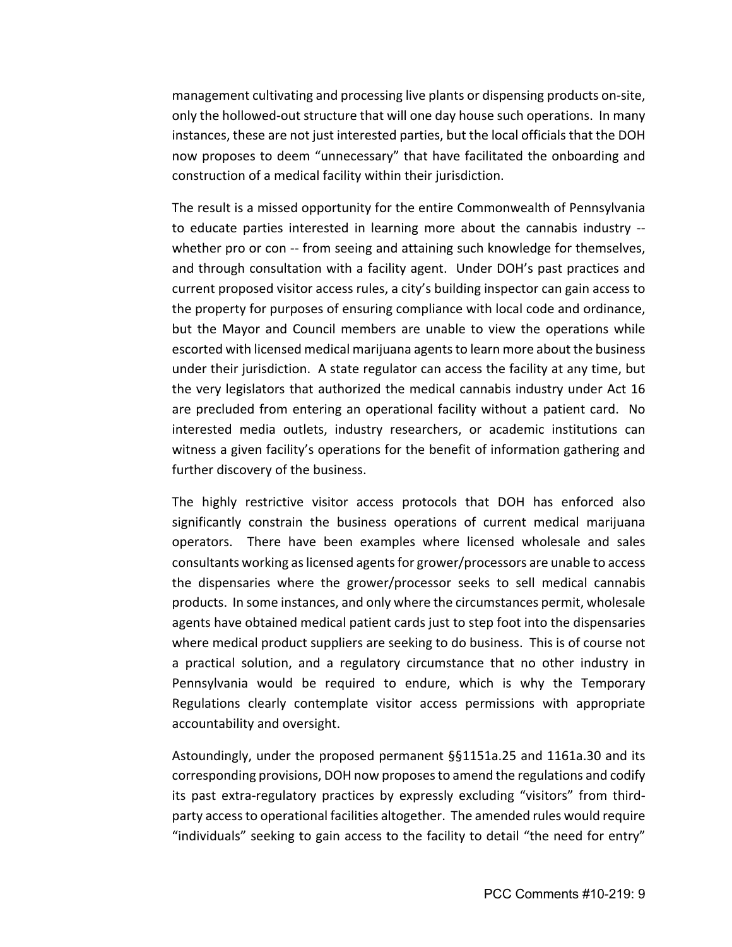management cultivating and processing live plants or dispensing products on-site, only the hollowed-out structure that will one day house such operations. In many instances, these are not just interested parties, but the local officials that the DOH now proposes to deem "unnecessary" that have facilitated the onboarding and construction of a medical facility within their jurisdiction.

The result is a missed opportunity for the entire Commonwealth of Pennsylvania to educate parties interested in learning more about the cannabis industry - whether pro or con -- from seeing and attaining such knowledge for themselves, and through consultation with a facility agent. Under DOH's past practices and current proposed visitor access rules, a city's building inspector can gain access to the property for purposes of ensuring compliance with local code and ordinance, but the Mayor and Council members are unable to view the operations while escorted with licensed medical marijuana agents to learn more about the business under their jurisdiction. A state regulator can access the facility at any time, but the very legislators that authorized the medical cannabis industry under Act 16 are precluded from entering an operational facility without a patient card. No interested media outlets, industry researchers, or academic institutions can witness a given facility's operations for the benefit of information gathering and further discovery of the business.

The highly restrictive visitor access protocols that DOH has enforced also significantly constrain the business operations of current medical marijuana operators. There have been examples where licensed wholesale and sales consultants working as licensed agents for grower/processors are unable to access the dispensaries where the grower/processor seeks to sell medical cannabis products. In some instances, and only where the circumstances permit, wholesale agents have obtained medical patient cards just to step foot into the dispensaries where medical product suppliers are seeking to do business. This is of course not a practical solution, and a regulatory circumstance that no other industry in Pennsylvania would be required to endure, which is why the Temporary Regulations clearly contemplate visitor access permissions with appropriate accountability and oversight.

Astoundingly, under the proposed permanent §§1151a.25 and 1161a.30 and its corresponding provisions, DOH now proposes to amend the regulations and codify its past extra-regulatory practices by expressly excluding "visitors" from thirdparty access to operational facilities altogether. The amended rules would require "individuals" seeking to gain access to the facility to detail "the need for entry"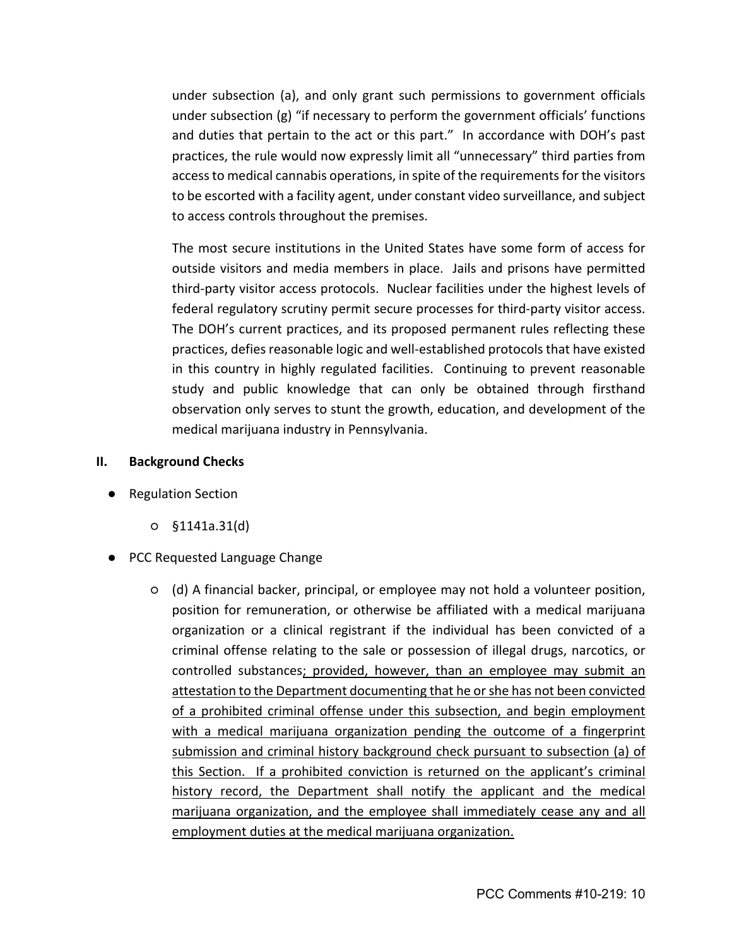under subsection (a), and only grant such permissions to government officials under subsection (g) "if necessary to perform the government officials' functions and duties that pertain to the act or this part." In accordance with DOH's past practices, the rule would now expressly limit all "unnecessary" third parties from access to medical cannabis operations, in spite of the requirements for the visitors to be escorted with a facility agent, under constant video surveillance, and subject to access controls throughout the premises.

The most secure institutions in the United States have some form of access for outside visitors and media members in place. Jails and prisons have permitted third-party visitor access protocols. Nuclear facilities under the highest levels of federal regulatory scrutiny permit secure processes for third-party visitor access. The DOH's current practices, and its proposed permanent rules reflecting these practices, defies reasonable logic and well-established protocols that have existed in this country in highly regulated facilities. Continuing to prevent reasonable study and public knowledge that can only be obtained through firsthand observation only serves to stunt the growth, education, and development of the medical marijuana industry in Pennsylvania.

### **II. Background Checks**

- Regulation Section
	- §1141a.31(d)
- PCC Requested Language Change
	- (d) A financial backer, principal, or employee may not hold a volunteer position, position for remuneration, or otherwise be affiliated with a medical marijuana organization or a clinical registrant if the individual has been convicted of a criminal offense relating to the sale or possession of illegal drugs, narcotics, or controlled substances; provided, however, than an employee may submit an attestation to the Department documenting that he or she has not been convicted of a prohibited criminal offense under this subsection, and begin employment with a medical marijuana organization pending the outcome of a fingerprint submission and criminal history background check pursuant to subsection (a) of this Section. If a prohibited conviction is returned on the applicant's criminal history record, the Department shall notify the applicant and the medical marijuana organization, and the employee shall immediately cease any and all employment duties at the medical marijuana organization.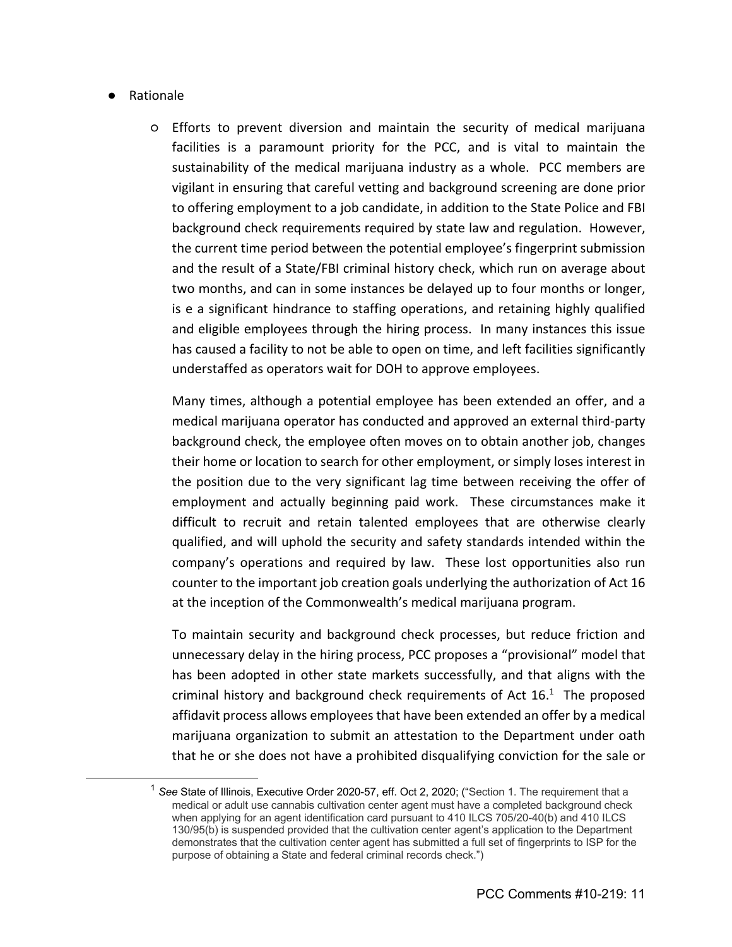### ● Rationale

○ Efforts to prevent diversion and maintain the security of medical marijuana facilities is a paramount priority for the PCC, and is vital to maintain the sustainability of the medical marijuana industry as a whole. PCC members are vigilant in ensuring that careful vetting and background screening are done prior to offering employment to a job candidate, in addition to the State Police and FBI background check requirements required by state law and regulation. However, the current time period between the potential employee's fingerprint submission and the result of a State/FBI criminal history check, which run on average about two months, and can in some instances be delayed up to four months or longer, is e a significant hindrance to staffing operations, and retaining highly qualified and eligible employees through the hiring process. In many instances this issue has caused a facility to not be able to open on time, and left facilities significantly understaffed as operators wait for DOH to approve employees.

Many times, although a potential employee has been extended an offer, and a medical marijuana operator has conducted and approved an external third-party background check, the employee often moves on to obtain another job, changes their home or location to search for other employment, or simply loses interest in the position due to the very significant lag time between receiving the offer of employment and actually beginning paid work. These circumstances make it difficult to recruit and retain talented employees that are otherwise clearly qualified, and will uphold the security and safety standards intended within the company's operations and required by law. These lost opportunities also run counter to the important job creation goals underlying the authorization of Act 16 at the inception of the Commonwealth's medical marijuana program.

To maintain security and background check processes, but reduce friction and unnecessary delay in the hiring process, PCC proposes a "provisional" model that has been adopted in other state markets successfully, and that aligns with the criminal history and background check requirements of Act  $16<sup>1</sup>$ . The proposed affidavit process allows employees that have been extended an offer by a medical marijuana organization to submit an attestation to the Department under oath that he or she does not have a prohibited disqualifying conviction for the sale or

<sup>&</sup>lt;sup>1</sup> See State of Illinois, Executive Order 2020-57, eff. Oct 2, 2020; ("Section 1. The requirement that a medical or adult use cannabis cultivation center agent must have a completed background check when applying for an agent identification card pursuant to 410 ILCS 705/20-40(b) and 410 ILCS 130/95(b) is suspended provided that the cultivation center agent's application to the Department demonstrates that the cultivation center agent has submitted a full set of fingerprints to ISP for the purpose of obtaining a State and federal criminal records check.")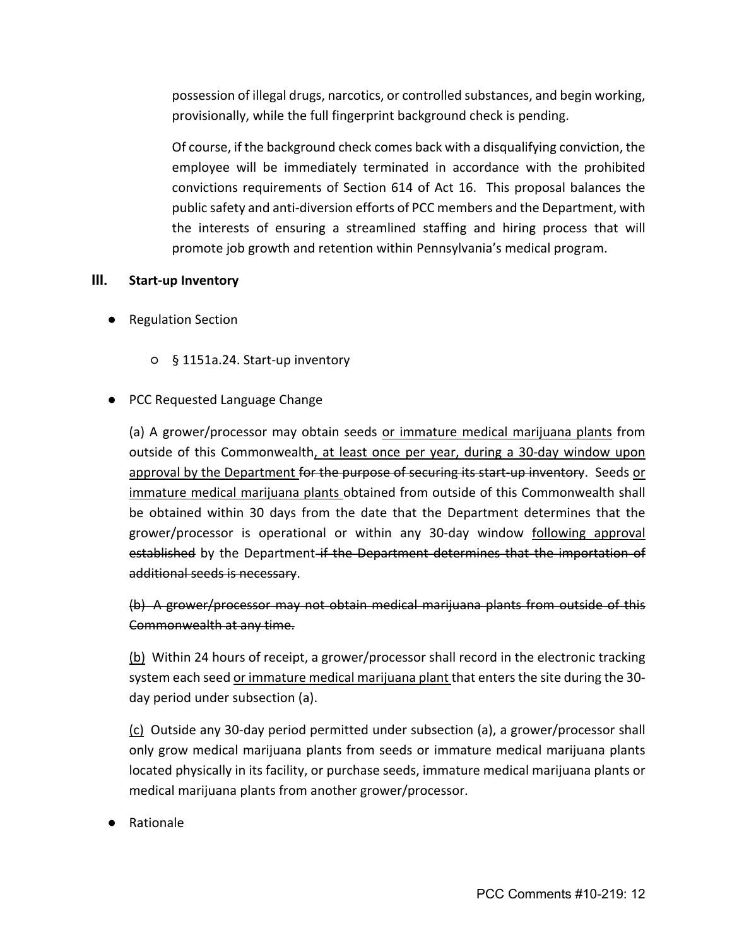possession of illegal drugs, narcotics, or controlled substances, and begin working, provisionally, while the full fingerprint background check is pending.

Of course, if the background check comes back with a disqualifying conviction, the employee will be immediately terminated in accordance with the prohibited convictions requirements of Section 614 of Act 16. This proposal balances the public safety and anti-diversion efforts of PCC members and the Department, with the interests of ensuring a streamlined staffing and hiring process that will promote job growth and retention within Pennsylvania's medical program.

# **III. Start-up Inventory**

- Regulation Section
	- § 1151a.24. Start-up inventory

# ● PCC Requested Language Change

(a) A grower/processor may obtain seeds or immature medical marijuana plants from outside of this Commonwealth, at least once per year, during a 30-day window upon approval by the Department for the purpose of securing its start-up inventory. Seeds or immature medical marijuana plants obtained from outside of this Commonwealth shall be obtained within 30 days from the date that the Department determines that the grower/processor is operational or within any 30-day window following approval established by the Department-if the Department determines that the importation of additional seeds is necessary.

(b) A grower/processor may not obtain medical marijuana plants from outside of this Commonwealth at any time.

(b) Within 24 hours of receipt, a grower/processor shall record in the electronic tracking system each seed or immature medical marijuana plant that enters the site during the 30 day period under subsection (a).

(c) Outside any 30-day period permitted under subsection (a), a grower/processor shall only grow medical marijuana plants from seeds or immature medical marijuana plants located physically in its facility, or purchase seeds, immature medical marijuana plants or medical marijuana plants from another grower/processor.

**Rationale**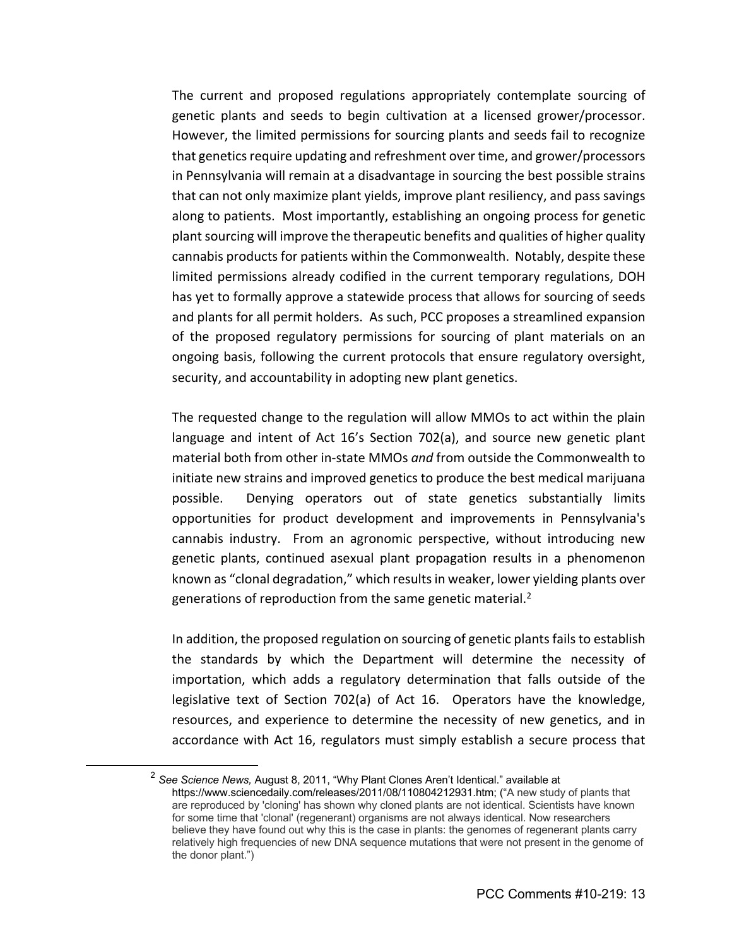The current and proposed regulations appropriately contemplate sourcing of genetic plants and seeds to begin cultivation at a licensed grower/processor. However, the limited permissions for sourcing plants and seeds fail to recognize that genetics require updating and refreshment over time, and grower/processors in Pennsylvania will remain at a disadvantage in sourcing the best possible strains that can not only maximize plant yields, improve plant resiliency, and pass savings along to patients. Most importantly, establishing an ongoing process for genetic plant sourcing will improve the therapeutic benefits and qualities of higher quality cannabis products for patients within the Commonwealth. Notably, despite these limited permissions already codified in the current temporary regulations, DOH has yet to formally approve a statewide process that allows for sourcing of seeds and plants for all permit holders. As such, PCC proposes a streamlined expansion of the proposed regulatory permissions for sourcing of plant materials on an ongoing basis, following the current protocols that ensure regulatory oversight, security, and accountability in adopting new plant genetics.

The requested change to the regulation will allow MMOs to act within the plain language and intent of Act 16's Section 702(a), and source new genetic plant material both from other in-state MMOs *and* from outside the Commonwealth to initiate new strains and improved genetics to produce the best medical marijuana possible. Denying operators out of state genetics substantially limits opportunities for product development and improvements in Pennsylvania's cannabis industry. From an agronomic perspective, without introducing new genetic plants, continued asexual plant propagation results in a phenomenon known as "clonal degradation," which results in weaker, lower yielding plants over generations of reproduction from the same genetic material. $2$ 

In addition, the proposed regulation on sourcing of genetic plants fails to establish the standards by which the Department will determine the necessity of importation, which adds a regulatory determination that falls outside of the legislative text of Section 702(a) of Act 16. Operators have the knowledge, resources, and experience to determine the necessity of new genetics, and in accordance with Act 16, regulators must simply establish a secure process that

<sup>2</sup> *See Science News,* August 8, 2011, "Why Plant Clones Aren't Identical." available at https://www.sciencedaily.com/releases/2011/08/110804212931.htm; ("A new study of plants that are reproduced by 'cloning' has shown why cloned plants are not identical. Scientists have known for some time that 'clonal' (regenerant) organisms are not always identical. Now researchers believe they have found out why this is the case in plants: the genomes of regenerant plants carry relatively high frequencies of new DNA sequence mutations that were not present in the genome of the donor plant.")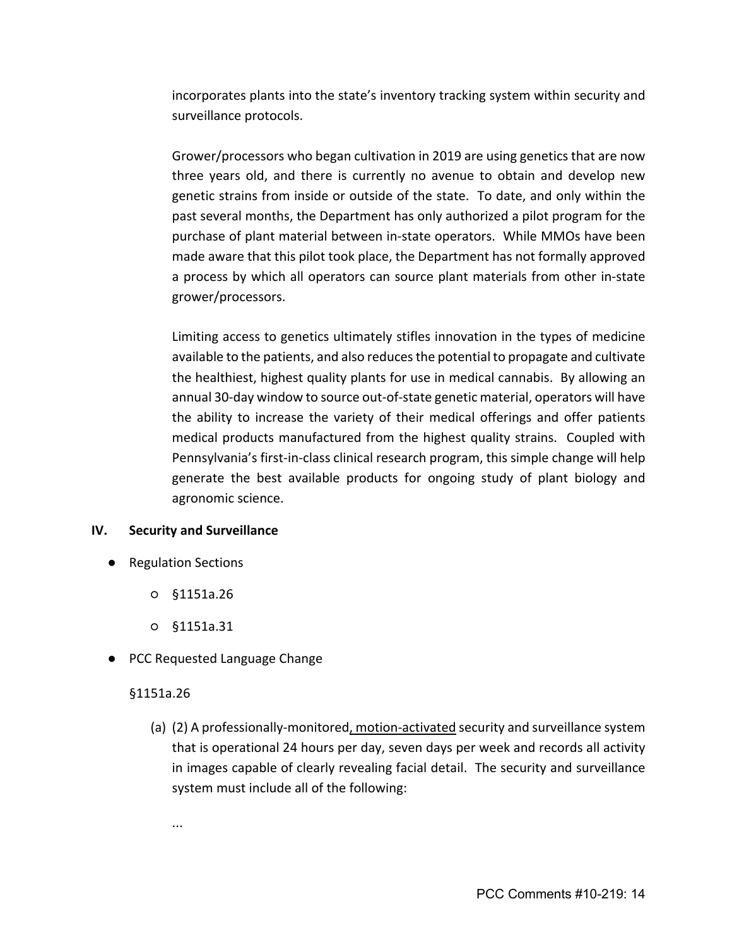incorporates plants into the state's inventory tracking system within security and surveillance protocols.

Grower/processors who began cultivation in 2019 are using genetics that are now three years old, and there is currently no avenue to obtain and develop new genetic strains from inside or outside of the state. To date, and only within the past several months, the Department has only authorized a pilot program for the purchase of plant material between in-state operators. While MMOs have been made aware that this pilot took place, the Department has not formally approved a process by which all operators can source plant materials from other in-state grower/processors.

Limiting access to genetics ultimately stifles innovation in the types of medicine available to the patients, and also reduces the potential to propagate and cultivate the healthiest, highest quality plants for use in medical cannabis. By allowing an annual 30-day window to source out-of-state genetic material, operators will have the ability to increase the variety of their medical offerings and offer patients medical products manufactured from the highest quality strains. Coupled with Pennsylvania's first-in-class clinical research program, this simple change will help generate the best available products for ongoing study of plant biology and agronomic science.

### **IV. Security and Surveillance**

- Regulation Sections
	- §1151a.26
	- §1151a.31
- PCC Requested Language Change

### §1151a.26

(a) (2) A professionally-monitored, motion-activated security and surveillance system that is operational 24 hours per day, seven days per week and records all activity in images capable of clearly revealing facial detail. The security and surveillance system must include all of the following: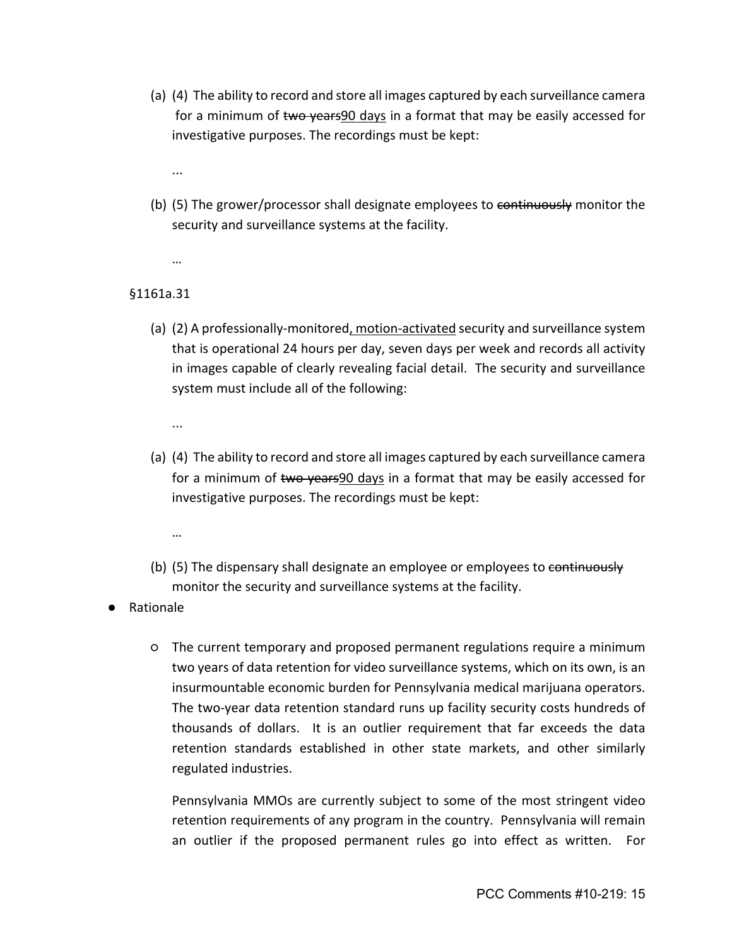- (a) (4) The ability to record and store all images captured by each surveillance camera for a minimum of two years90 days in a format that may be easily accessed for investigative purposes. The recordings must be kept:
	- ...
- (b) (5) The grower/processor shall designate employees to continuously monitor the security and surveillance systems at the facility.
	- …

# §1161a.31

- (a) (2) A professionally-monitored, motion-activated security and surveillance system that is operational 24 hours per day, seven days per week and records all activity in images capable of clearly revealing facial detail. The security and surveillance system must include all of the following:
	- ...
- (a) (4) The ability to record and store all images captured by each surveillance camera for a minimum of two years90 days in a format that may be easily accessed for investigative purposes. The recordings must be kept:
	- …
- (b) (5) The dispensary shall designate an employee or employees to continuously monitor the security and surveillance systems at the facility.
- **Rationale** 
	- The current temporary and proposed permanent regulations require a minimum two years of data retention for video surveillance systems, which on its own, is an insurmountable economic burden for Pennsylvania medical marijuana operators. The two-year data retention standard runs up facility security costs hundreds of thousands of dollars. It is an outlier requirement that far exceeds the data retention standards established in other state markets, and other similarly regulated industries.

Pennsylvania MMOs are currently subject to some of the most stringent video retention requirements of any program in the country. Pennsylvania will remain an outlier if the proposed permanent rules go into effect as written. For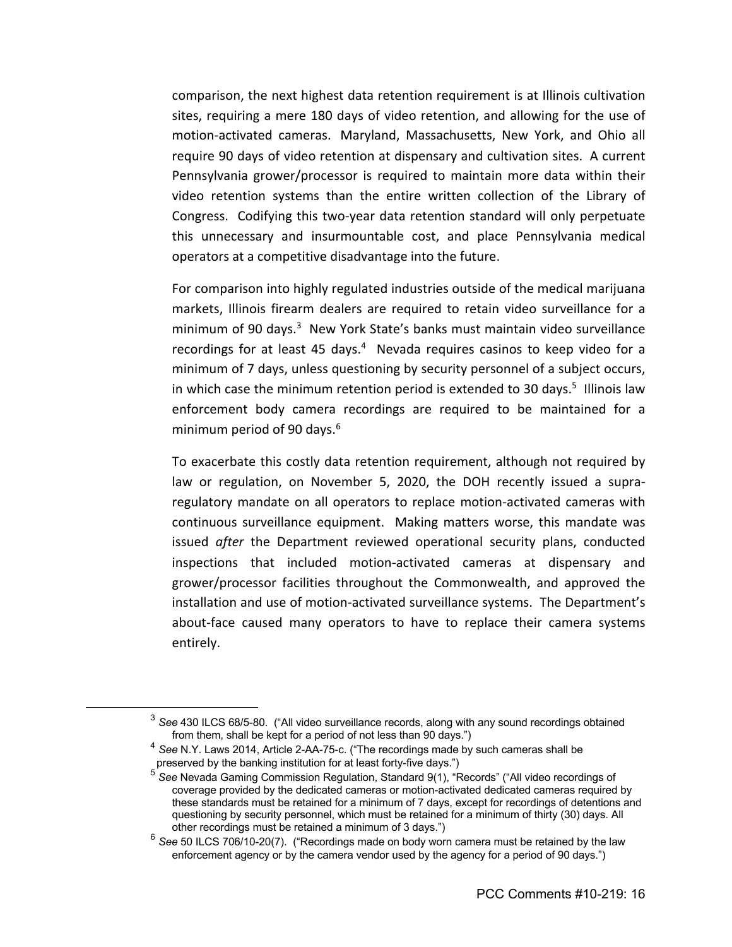comparison, the next highest data retention requirement is at Illinois cultivation sites, requiring a mere 180 days of video retention, and allowing for the use of motion-activated cameras. Maryland, Massachusetts, New York, and Ohio all require 90 days of video retention at dispensary and cultivation sites. A current Pennsylvania grower/processor is required to maintain more data within their video retention systems than the entire written collection of the Library of Congress. Codifying this two-year data retention standard will only perpetuate this unnecessary and insurmountable cost, and place Pennsylvania medical operators at a competitive disadvantage into the future.

For comparison into highly regulated industries outside of the medical marijuana markets, Illinois firearm dealers are required to retain video surveillance for a minimum of 90 days.<sup>3</sup> New York State's banks must maintain video surveillance recordings for at least 45 days.<sup>4</sup> Nevada requires casinos to keep video for a minimum of 7 days, unless questioning by security personnel of a subject occurs, in which case the minimum retention period is extended to 30 days.<sup>5</sup> Illinois law enforcement body camera recordings are required to be maintained for a minimum period of 90 days. $6<sup>6</sup>$ 

To exacerbate this costly data retention requirement, although not required by law or regulation, on November 5, 2020, the DOH recently issued a supraregulatory mandate on all operators to replace motion-activated cameras with continuous surveillance equipment. Making matters worse, this mandate was issued *after* the Department reviewed operational security plans, conducted inspections that included motion-activated cameras at dispensary and grower/processor facilities throughout the Commonwealth, and approved the installation and use of motion-activated surveillance systems. The Department's about-face caused many operators to have to replace their camera systems entirely.

<sup>3</sup> *See* 430 ILCS 68/5-80. ("All video surveillance records, along with any sound recordings obtained from them, shall be kept for a period of not less than 90 days.")

<sup>4</sup> *See* N.Y. Laws 2014, Article 2-AA-75-c. ("The recordings made by such cameras shall be preserved by the banking institution for at least forty-five days.")

<sup>5</sup> *See* Nevada Gaming Commission Regulation, Standard 9(1), "Records" ("All video recordings of coverage provided by the dedicated cameras or motion-activated dedicated cameras required by these standards must be retained for a minimum of 7 days, except for recordings of detentions and questioning by security personnel, which must be retained for a minimum of thirty (30) days. All other recordings must be retained a minimum of 3 days.")

<sup>6</sup> *See* 50 ILCS 706/10-20(7). ("Recordings made on body worn camera must be retained by the law enforcement agency or by the camera vendor used by the agency for a period of 90 days.")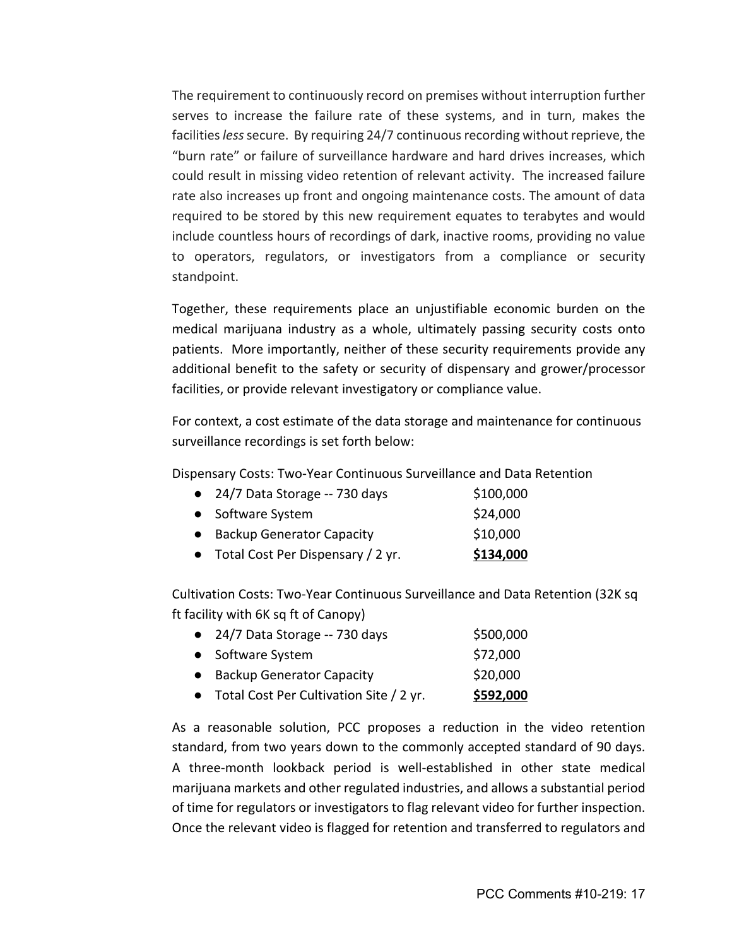The requirement to continuously record on premises without interruption further serves to increase the failure rate of these systems, and in turn, makes the facilities *less*secure. By requiring 24/7 continuous recording without reprieve, the "burn rate" or failure of surveillance hardware and hard drives increases, which could result in missing video retention of relevant activity. The increased failure rate also increases up front and ongoing maintenance costs. The amount of data required to be stored by this new requirement equates to terabytes and would include countless hours of recordings of dark, inactive rooms, providing no value to operators, regulators, or investigators from a compliance or security standpoint.

Together, these requirements place an unjustifiable economic burden on the medical marijuana industry as a whole, ultimately passing security costs onto patients. More importantly, neither of these security requirements provide any additional benefit to the safety or security of dispensary and grower/processor facilities, or provide relevant investigatory or compliance value.

For context, a cost estimate of the data storage and maintenance for continuous surveillance recordings is set forth below:

Dispensary Costs: Two-Year Continuous Surveillance and Data Retention

| $\bullet$ 24/7 Data Storage -- 730 days | \$100,000 |
|-----------------------------------------|-----------|
| • Software System                       | \$24,000  |

|  | <b>Backup Generator Capacity</b> | \$10,000 |
|--|----------------------------------|----------|
|--|----------------------------------|----------|

● Total Cost Per Dispensary / 2 yr. **\$134,000** 

Cultivation Costs: Two-Year Continuous Surveillance and Data Retention (32K sq ft facility with 6K sq ft of Canopy)

| • 24/7 Data Storage -- 730 days           | \$500,000 |
|-------------------------------------------|-----------|
| • Software System                         | \$72,000  |
| • Backup Generator Capacity               | \$20,000  |
| • Total Cost Per Cultivation Site / 2 yr. | \$592,000 |

As a reasonable solution, PCC proposes a reduction in the video retention standard, from two years down to the commonly accepted standard of 90 days. A three-month lookback period is well-established in other state medical marijuana markets and other regulated industries, and allows a substantial period of time for regulators or investigators to flag relevant video for further inspection. Once the relevant video is flagged for retention and transferred to regulators and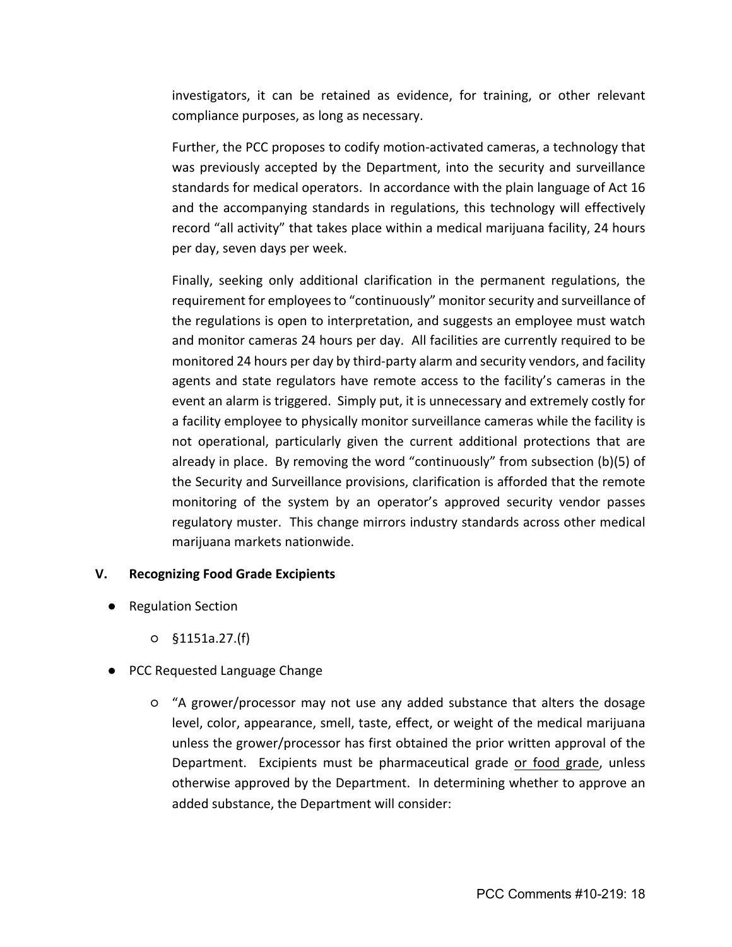investigators, it can be retained as evidence, for training, or other relevant compliance purposes, as long as necessary.

Further, the PCC proposes to codify motion-activated cameras, a technology that was previously accepted by the Department, into the security and surveillance standards for medical operators. In accordance with the plain language of Act 16 and the accompanying standards in regulations, this technology will effectively record "all activity" that takes place within a medical marijuana facility, 24 hours per day, seven days per week.

Finally, seeking only additional clarification in the permanent regulations, the requirement for employees to "continuously" monitor security and surveillance of the regulations is open to interpretation, and suggests an employee must watch and monitor cameras 24 hours per day. All facilities are currently required to be monitored 24 hours per day by third-party alarm and security vendors, and facility agents and state regulators have remote access to the facility's cameras in the event an alarm is triggered. Simply put, it is unnecessary and extremely costly for a facility employee to physically monitor surveillance cameras while the facility is not operational, particularly given the current additional protections that are already in place. By removing the word "continuously" from subsection (b)(5) of the Security and Surveillance provisions, clarification is afforded that the remote monitoring of the system by an operator's approved security vendor passes regulatory muster. This change mirrors industry standards across other medical marijuana markets nationwide.

### **V. Recognizing Food Grade Excipients**

- Regulation Section
	- §1151a.27.(f)
- PCC Requested Language Change
	- "A grower/processor may not use any added substance that alters the dosage level, color, appearance, smell, taste, effect, or weight of the medical marijuana unless the grower/processor has first obtained the prior written approval of the Department. Excipients must be pharmaceutical grade or food grade, unless otherwise approved by the Department. In determining whether to approve an added substance, the Department will consider: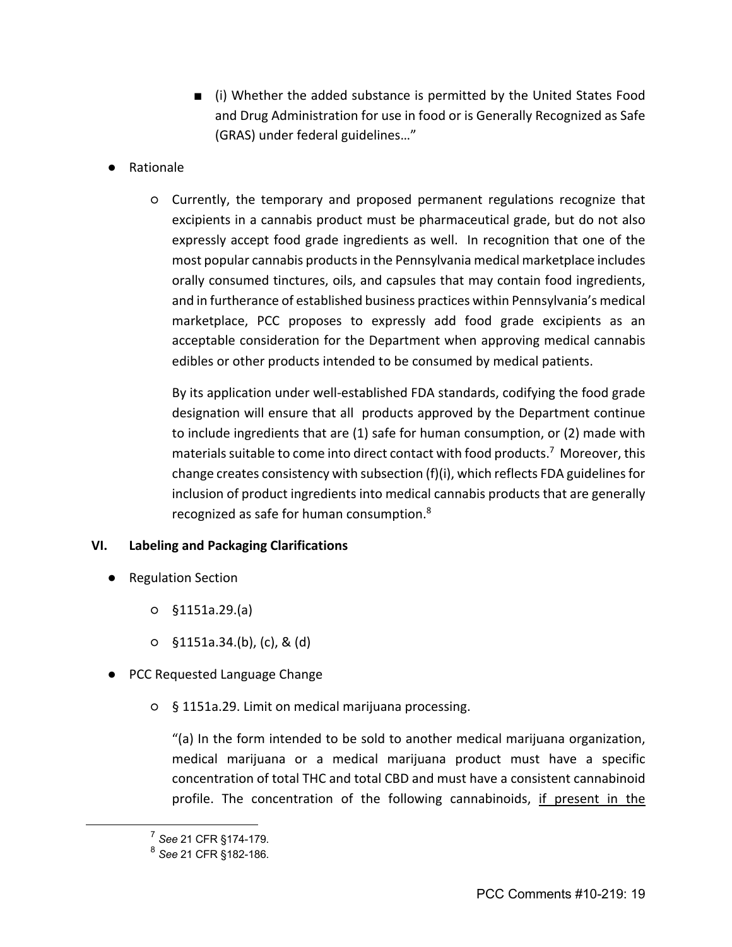- (i) Whether the added substance is permitted by the United States Food and Drug Administration for use in food or is Generally Recognized as Safe (GRAS) under federal guidelines…"
- Rationale
	- Currently, the temporary and proposed permanent regulations recognize that excipients in a cannabis product must be pharmaceutical grade, but do not also expressly accept food grade ingredients as well. In recognition that one of the most popular cannabis products in the Pennsylvania medical marketplace includes orally consumed tinctures, oils, and capsules that may contain food ingredients, and in furtherance of established business practices within Pennsylvania's medical marketplace, PCC proposes to expressly add food grade excipients as an acceptable consideration for the Department when approving medical cannabis edibles or other products intended to be consumed by medical patients.

By its application under well-established FDA standards, codifying the food grade designation will ensure that all products approved by the Department continue to include ingredients that are (1) safe for human consumption, or (2) made with materials suitable to come into direct contact with food products.<sup>7</sup> Moreover, this change creates consistency with subsection (f)(i), which reflects FDA guidelines for inclusion of product ingredients into medical cannabis products that are generally recognized as safe for human consumption.8

# **VI. Labeling and Packaging Clarifications**

- Regulation Section
	- §1151a.29.(a)
	- §1151a.34.(b), (c), & (d)
- PCC Requested Language Change
	- § 1151a.29. Limit on medical marijuana processing.

"(a) In the form intended to be sold to another medical marijuana organization, medical marijuana or a medical marijuana product must have a specific concentration of total THC and total CBD and must have a consistent cannabinoid profile. The concentration of the following cannabinoids, if present in the

<sup>7</sup> *See* 21 CFR §174-179.

<sup>8</sup> *See* 21 CFR §182-186.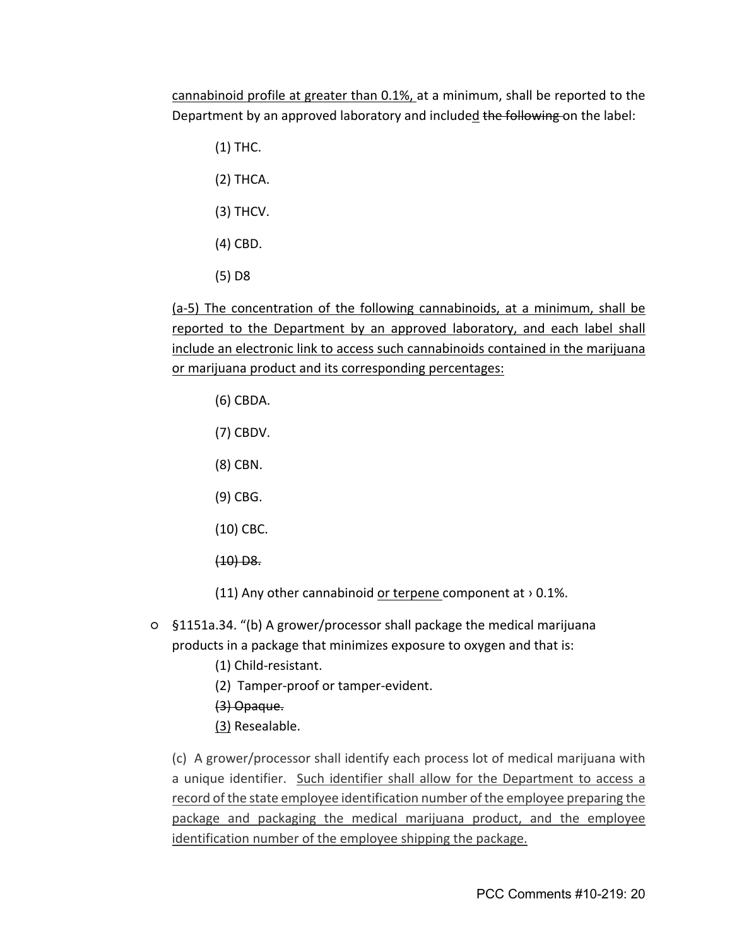cannabinoid profile at greater than 0.1%, at a minimum, shall be reported to the Department by an approved laboratory and included the following on the label:

- (1) THC.
- (2) THCA.
- (3) THCV.
- (4) CBD.
- (5) D8

(a-5) The concentration of the following cannabinoids, at a minimum, shall be reported to the Department by an approved laboratory, and each label shall include an electronic link to access such cannabinoids contained in the marijuana or marijuana product and its corresponding percentages:

- (6) CBDA.
- (7) CBDV.
- (8) CBN.
- (9) CBG.
- (10) CBC.
- $(10)$  D<sub>8</sub>.
- (11) Any other cannabinoid or terpene component at  $> 0.1\%$ .
- §1151a.34. "(b) A grower/processor shall package the medical marijuana products in a package that minimizes exposure to oxygen and that is:
	- (1) Child-resistant.
	- (2) Tamper-proof or tamper-evident.
	- (3) Opaque.
	- (3) Resealable.

(c) A grower/processor shall identify each process lot of medical marijuana with a unique identifier. Such identifier shall allow for the Department to access a record of the state employee identification number of the employee preparing the package and packaging the medical marijuana product, and the employee identification number of the employee shipping the package.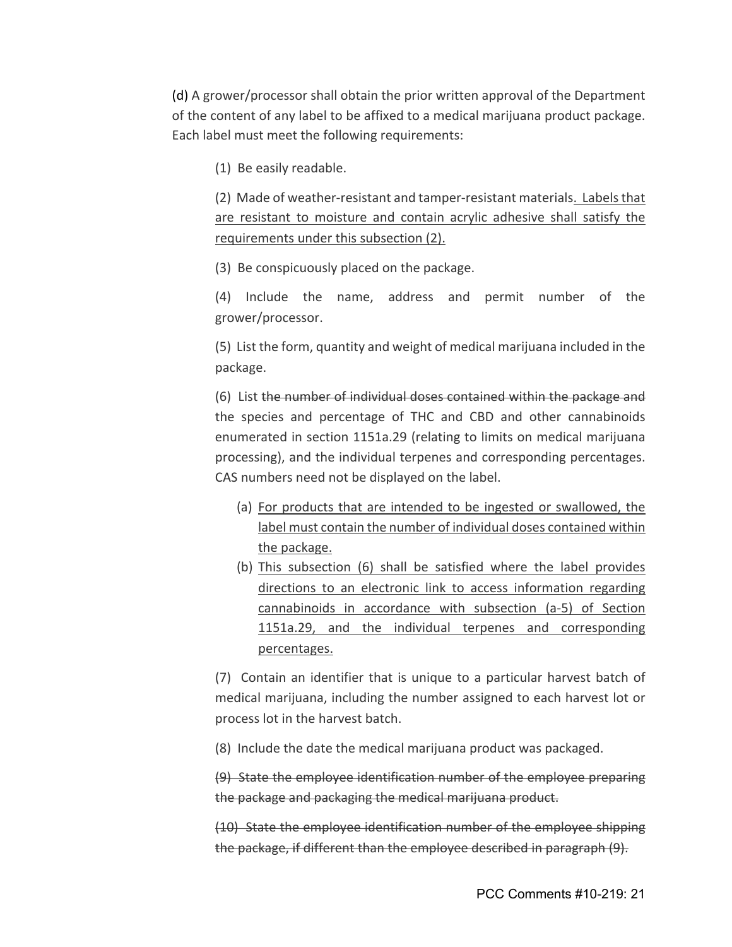(d) A grower/processor shall obtain the prior written approval of the Department of the content of any label to be affixed to a medical marijuana product package. Each label must meet the following requirements:

(1) Be easily readable.

(2) Made of weather-resistant and tamper-resistant materials. Labels that are resistant to moisture and contain acrylic adhesive shall satisfy the requirements under this subsection (2).

(3) Be conspicuously placed on the package.

(4) Include the name, address and permit number of the grower/processor.

(5) List the form, quantity and weight of medical marijuana included in the package.

(6) List the number of individual doses contained within the package and the species and percentage of THC and CBD and other cannabinoids enumerated in section 1151a.29 (relating to limits on medical marijuana processing), and the individual terpenes and corresponding percentages. CAS numbers need not be displayed on the label.

- (a) For products that are intended to be ingested or swallowed, the label must contain the number of individual doses contained within the package.
- (b) This subsection (6) shall be satisfied where the label provides directions to an electronic link to access information regarding cannabinoids in accordance with subsection (a-5) of Section 1151a.29, and the individual terpenes and corresponding percentages.

(7) Contain an identifier that is unique to a particular harvest batch of medical marijuana, including the number assigned to each harvest lot or process lot in the harvest batch.

(8) Include the date the medical marijuana product was packaged.

(9) State the employee identification number of the employee preparing the package and packaging the medical marijuana product.

(10) State the employee identification number of the employee shipping the package, if different than the employee described in paragraph (9).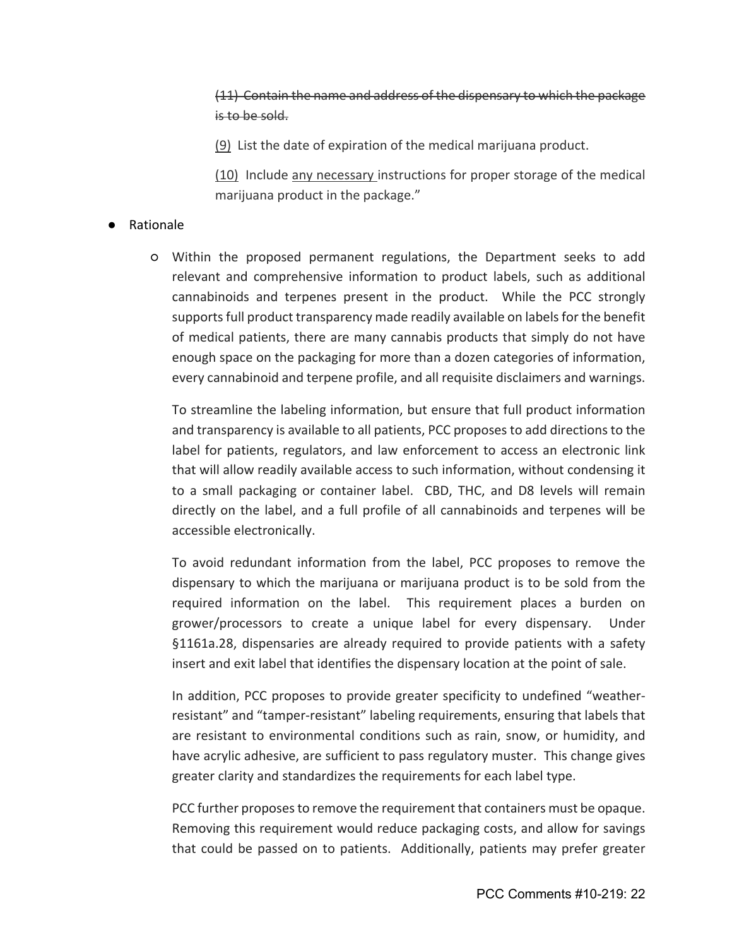(11) Contain the name and address of the dispensary to which the package is to be sold.

(9) List the date of expiration of the medical marijuana product.

(10) Include any necessary instructions for proper storage of the medical marijuana product in the package."

# ● Rationale

○ Within the proposed permanent regulations, the Department seeks to add relevant and comprehensive information to product labels, such as additional cannabinoids and terpenes present in the product. While the PCC strongly supports full product transparency made readily available on labels for the benefit of medical patients, there are many cannabis products that simply do not have enough space on the packaging for more than a dozen categories of information, every cannabinoid and terpene profile, and all requisite disclaimers and warnings.

To streamline the labeling information, but ensure that full product information and transparency is available to all patients, PCC proposes to add directions to the label for patients, regulators, and law enforcement to access an electronic link that will allow readily available access to such information, without condensing it to a small packaging or container label. CBD, THC, and D8 levels will remain directly on the label, and a full profile of all cannabinoids and terpenes will be accessible electronically.

To avoid redundant information from the label, PCC proposes to remove the dispensary to which the marijuana or marijuana product is to be sold from the required information on the label. This requirement places a burden on grower/processors to create a unique label for every dispensary. Under §1161a.28, dispensaries are already required to provide patients with a safety insert and exit label that identifies the dispensary location at the point of sale.

In addition, PCC proposes to provide greater specificity to undefined "weatherresistant" and "tamper-resistant" labeling requirements, ensuring that labels that are resistant to environmental conditions such as rain, snow, or humidity, and have acrylic adhesive, are sufficient to pass regulatory muster. This change gives greater clarity and standardizes the requirements for each label type.

PCC further proposes to remove the requirement that containers must be opaque. Removing this requirement would reduce packaging costs, and allow for savings that could be passed on to patients. Additionally, patients may prefer greater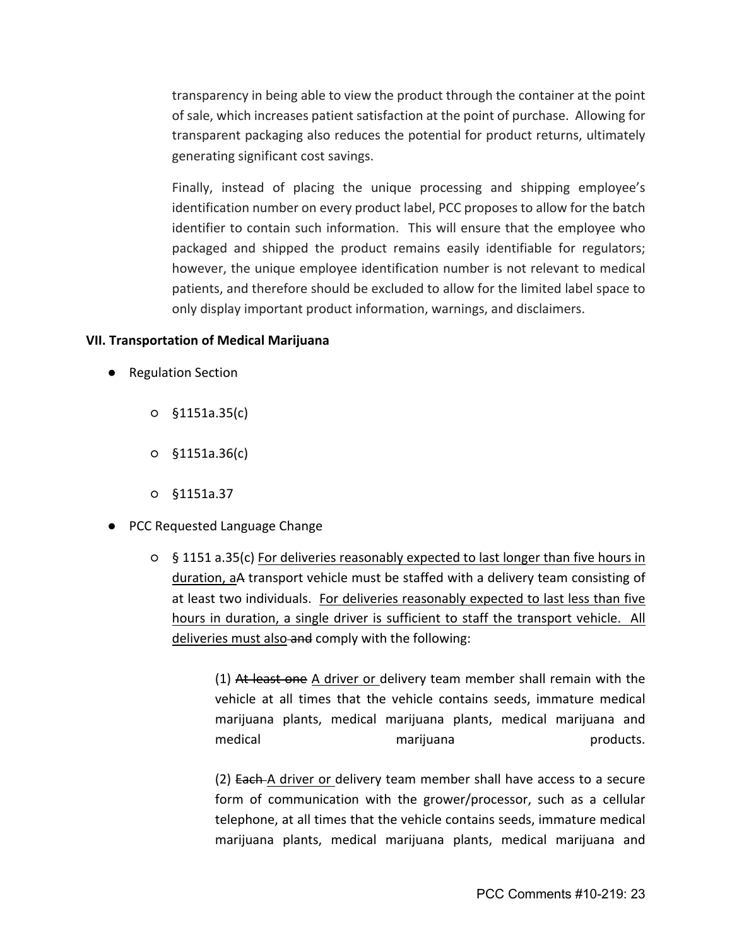transparency in being able to view the product through the container at the point of sale, which increases patient satisfaction at the point of purchase. Allowing for transparent packaging also reduces the potential for product returns, ultimately generating significant cost savings.

Finally, instead of placing the unique processing and shipping employee's identification number on every product label, PCC proposes to allow for the batch identifier to contain such information. This will ensure that the employee who packaged and shipped the product remains easily identifiable for regulators; however, the unique employee identification number is not relevant to medical patients, and therefore should be excluded to allow for the limited label space to only display important product information, warnings, and disclaimers.

#### **VII. Transportation of Medical Marijuana**

- Regulation Section
	- §1151a.35(c)
	- §1151a.36(c)
	- §1151a.37
- PCC Requested Language Change
	- § 1151 a.35(c) For deliveries reasonably expected to last longer than five hours in duration, aA transport vehicle must be staffed with a delivery team consisting of at least two individuals. For deliveries reasonably expected to last less than five hours in duration, a single driver is sufficient to staff the transport vehicle. All deliveries must also and comply with the following:

(1) At least one A driver or delivery team member shall remain with the vehicle at all times that the vehicle contains seeds, immature medical marijuana plants, medical marijuana plants, medical marijuana and medical marijuana marijuana products.

(2) Each A driver or delivery team member shall have access to a secure form of communication with the grower/processor, such as a cellular telephone, at all times that the vehicle contains seeds, immature medical marijuana plants, medical marijuana plants, medical marijuana and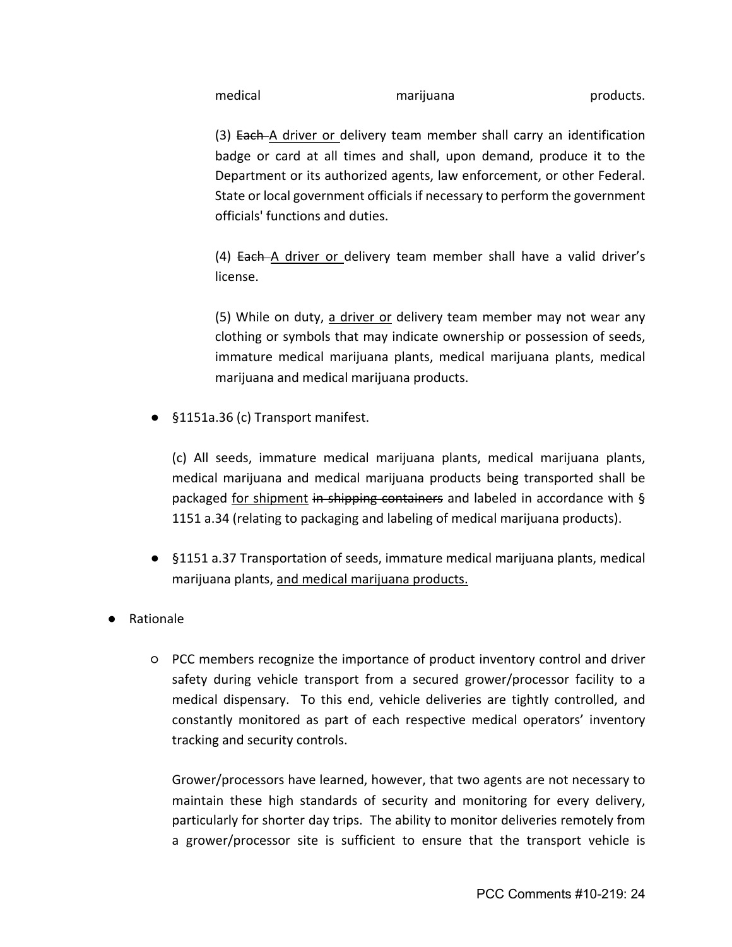medical marijuana products.

(3) Each A driver or delivery team member shall carry an identification badge or card at all times and shall, upon demand, produce it to the Department or its authorized agents, law enforcement, or other Federal. State or local government officials if necessary to perform the government officials' functions and duties.

(4) Each A driver or delivery team member shall have a valid driver's license.

(5) While on duty, a driver or delivery team member may not wear any clothing or symbols that may indicate ownership or possession of seeds, immature medical marijuana plants, medical marijuana plants, medical marijuana and medical marijuana products.

● §1151a.36 (c) Transport manifest.

(c) All seeds, immature medical marijuana plants, medical marijuana plants, medical marijuana and medical marijuana products being transported shall be packaged for shipment in shipping containers and labeled in accordance with § 1151 a.34 (relating to packaging and labeling of medical marijuana products).

- §1151 a.37 Transportation of seeds, immature medical marijuana plants, medical marijuana plants, and medical marijuana products.
- Rationale
	- PCC members recognize the importance of product inventory control and driver safety during vehicle transport from a secured grower/processor facility to a medical dispensary. To this end, vehicle deliveries are tightly controlled, and constantly monitored as part of each respective medical operators' inventory tracking and security controls.

Grower/processors have learned, however, that two agents are not necessary to maintain these high standards of security and monitoring for every delivery, particularly for shorter day trips. The ability to monitor deliveries remotely from a grower/processor site is sufficient to ensure that the transport vehicle is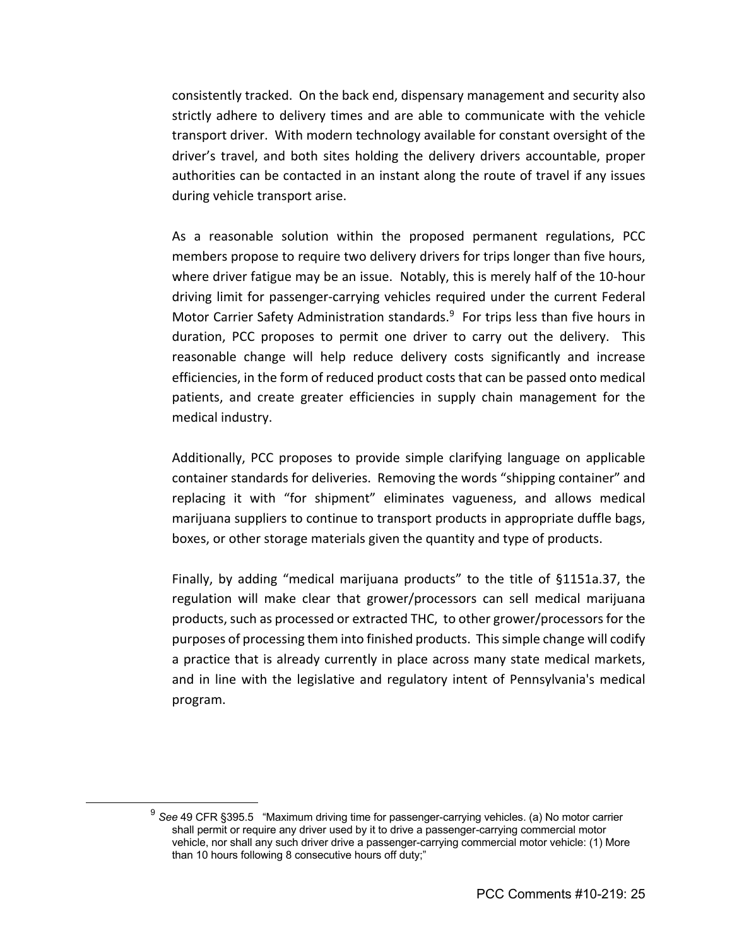consistently tracked. On the back end, dispensary management and security also strictly adhere to delivery times and are able to communicate with the vehicle transport driver. With modern technology available for constant oversight of the driver's travel, and both sites holding the delivery drivers accountable, proper authorities can be contacted in an instant along the route of travel if any issues during vehicle transport arise.

As a reasonable solution within the proposed permanent regulations, PCC members propose to require two delivery drivers for trips longer than five hours, where driver fatigue may be an issue. Notably, this is merely half of the 10-hour driving limit for passenger-carrying vehicles required under the current Federal Motor Carrier Safety Administration standards.<sup>9</sup> For trips less than five hours in duration, PCC proposes to permit one driver to carry out the delivery. This reasonable change will help reduce delivery costs significantly and increase efficiencies, in the form of reduced product costs that can be passed onto medical patients, and create greater efficiencies in supply chain management for the medical industry.

Additionally, PCC proposes to provide simple clarifying language on applicable container standards for deliveries. Removing the words "shipping container" and replacing it with "for shipment" eliminates vagueness, and allows medical marijuana suppliers to continue to transport products in appropriate duffle bags, boxes, or other storage materials given the quantity and type of products.

Finally, by adding "medical marijuana products" to the title of §1151a.37, the regulation will make clear that grower/processors can sell medical marijuana products, such as processed or extracted THC, to other grower/processors for the purposes of processing them into finished products. This simple change will codify a practice that is already currently in place across many state medical markets, and in line with the legislative and regulatory intent of Pennsylvania's medical program.

<sup>9</sup> *See* 49 CFR §395.5 "Maximum driving time for passenger-carrying vehicles. (a) No motor carrier shall permit or require any driver used by it to drive a passenger-carrying commercial motor vehicle, nor shall any such driver drive a passenger-carrying commercial motor vehicle: (1) More than 10 hours following 8 consecutive hours off duty;"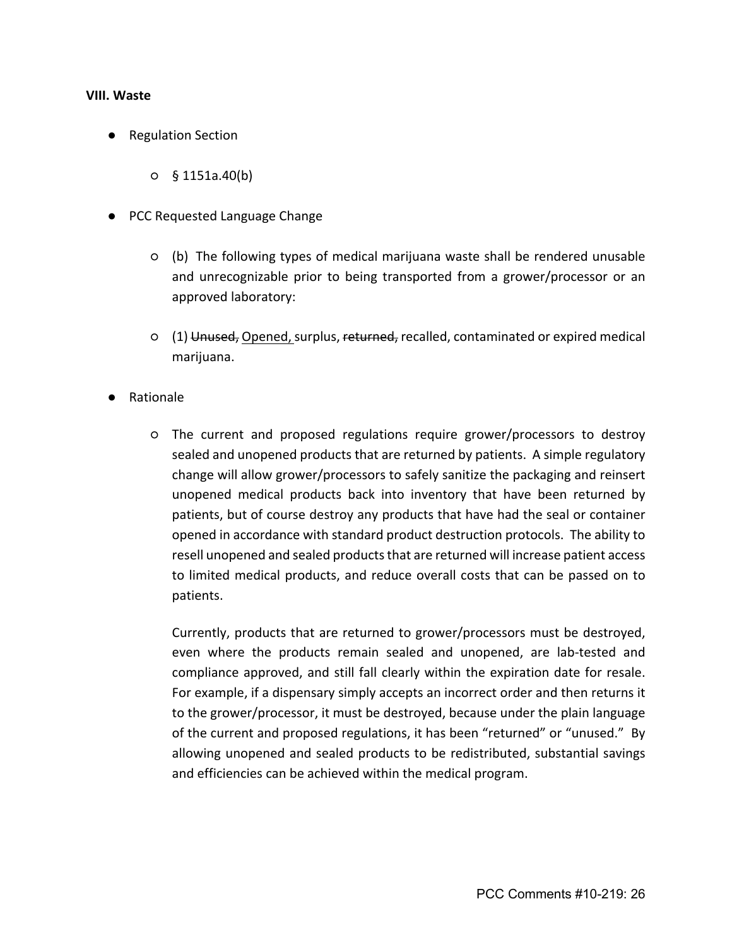#### **VIII. Waste**

- Regulation Section
	- $0 \quad$  § 1151a.40(b)
- PCC Requested Language Change
	- (b) The following types of medical marijuana waste shall be rendered unusable and unrecognizable prior to being transported from a grower/processor or an approved laboratory:
	- (1) Unused, Opened, surplus, returned, recalled, contaminated or expired medical marijuana.
- Rationale
	- The current and proposed regulations require grower/processors to destroy sealed and unopened products that are returned by patients. A simple regulatory change will allow grower/processors to safely sanitize the packaging and reinsert unopened medical products back into inventory that have been returned by patients, but of course destroy any products that have had the seal or container opened in accordance with standard product destruction protocols. The ability to resell unopened and sealed products that are returned will increase patient access to limited medical products, and reduce overall costs that can be passed on to patients.

Currently, products that are returned to grower/processors must be destroyed, even where the products remain sealed and unopened, are lab-tested and compliance approved, and still fall clearly within the expiration date for resale. For example, if a dispensary simply accepts an incorrect order and then returns it to the grower/processor, it must be destroyed, because under the plain language of the current and proposed regulations, it has been "returned" or "unused." By allowing unopened and sealed products to be redistributed, substantial savings and efficiencies can be achieved within the medical program.